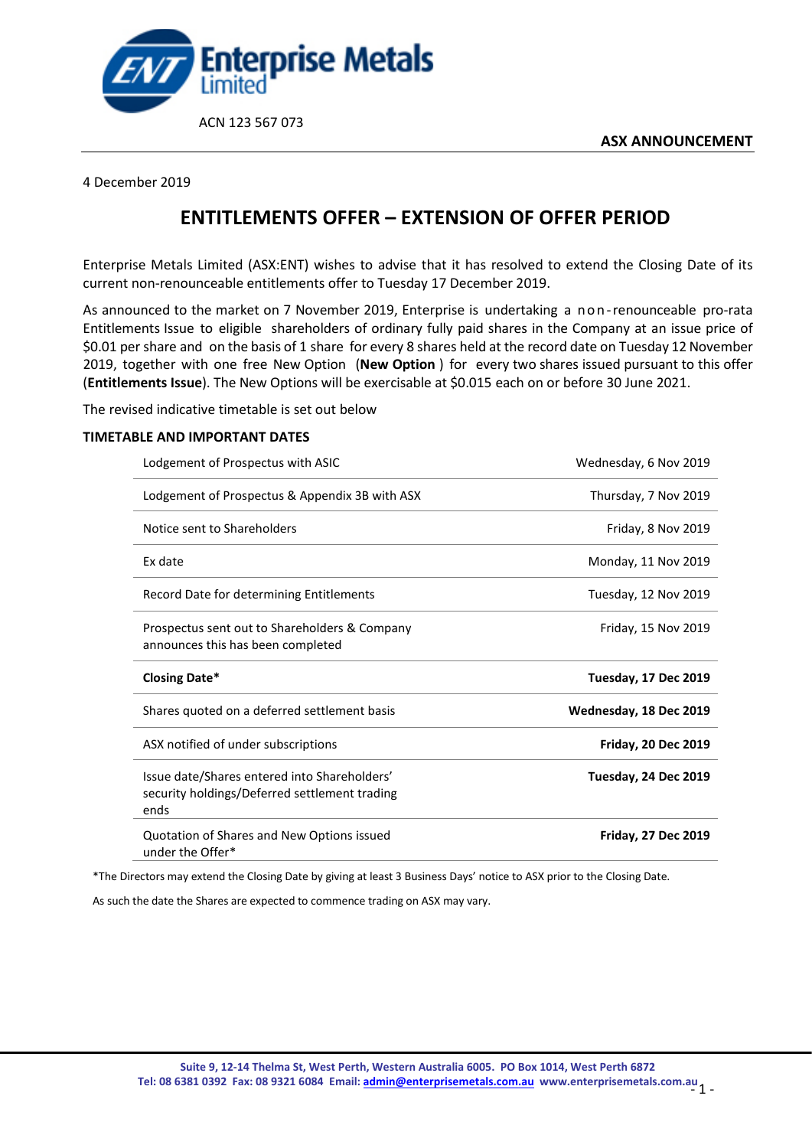

## 4 December 2019

## **ENTITLEMENTS OFFER – EXTENSION OF OFFER PERIOD**

Enterprise Metals Limited (ASX:ENT) wishes to advise that it has resolved to extend the Closing Date of its current non-renounceable entitlements offer to Tuesday 17 December 2019.

As announced to the market on 7 November 2019, Enterprise is undertaking a non-renounceable pro-rata Entitlements Issue to eligible shareholders of ordinary fully paid shares in the Company at an issue price of \$0.01 pershare and on the basis of 1 share for every 8 shares held at the record date on Tuesday 12 November 2019, together with one free New Option (**New Option** ) for every two shares issued pursuant to this offer (**Entitlements Issue**). The New Options will be exercisable at \$0.015 each on or before 30 June 2021.

The revised indicative timetable is set out below

## **TIMETABLE AND IMPORTANT DATES**

| Lodgement of Prospectus with ASIC                                                                     | Wednesday, 6 Nov 2019       |
|-------------------------------------------------------------------------------------------------------|-----------------------------|
| Lodgement of Prospectus & Appendix 3B with ASX                                                        | Thursday, 7 Nov 2019        |
| Notice sent to Shareholders                                                                           | Friday, 8 Nov 2019          |
| Ex date                                                                                               | Monday, 11 Nov 2019         |
| Record Date for determining Entitlements                                                              | Tuesday, 12 Nov 2019        |
| Prospectus sent out to Shareholders & Company<br>announces this has been completed                    | Friday, 15 Nov 2019         |
|                                                                                                       |                             |
| <b>Closing Date*</b>                                                                                  | <b>Tuesday, 17 Dec 2019</b> |
| Shares quoted on a deferred settlement basis                                                          | Wednesday, 18 Dec 2019      |
| ASX notified of under subscriptions                                                                   | <b>Friday, 20 Dec 2019</b>  |
| Issue date/Shares entered into Shareholders'<br>security holdings/Deferred settlement trading<br>ends | Tuesday, 24 Dec 2019        |

\*The Directors may extend the Closing Date by giving at least 3 Business Days' notice to ASX prior to the Closing Date.

As such the date the Shares are expected to commence trading on ASX may vary.